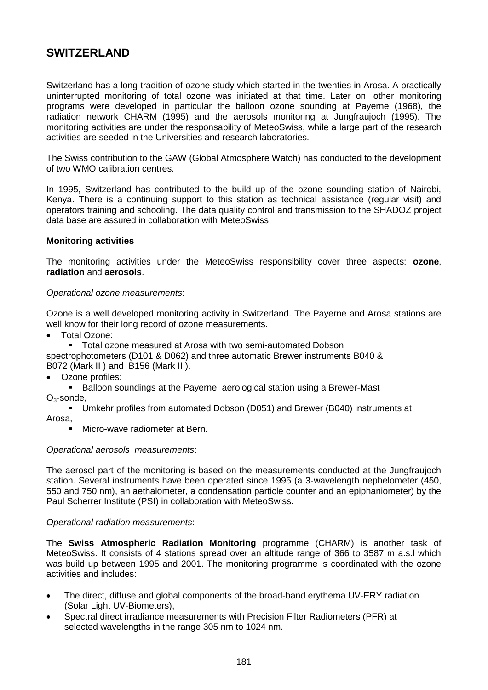# **SWITZERLAND**

Switzerland has a long tradition of ozone study which started in the twenties in Arosa. A practically uninterrupted monitoring of total ozone was initiated at that time. Later on, other monitoring programs were developed in particular the balloon ozone sounding at Payerne (1968), the radiation network CHARM (1995) and the aerosols monitoring at Jungfraujoch (1995). The monitoring activities are under the responsability of MeteoSwiss, while a large part of the research activities are seeded in the Universities and research laboratories.

The Swiss contribution to the GAW (Global Atmosphere Watch) has conducted to the development of two WMO calibration centres.

In 1995, Switzerland has contributed to the build up of the ozone sounding station of Nairobi, Kenya. There is a continuing support to this station as technical assistance (regular visit) and operators training and schooling. The data quality control and transmission to the SHADOZ project data base are assured in collaboration with MeteoSwiss.

## **Monitoring activities**

The monitoring activities under the MeteoSwiss responsibility cover three aspects: **ozone**, **radiation** and **aerosols**.

## *Operational ozone measurements*:

Ozone is a well developed monitoring activity in Switzerland. The Payerne and Arosa stations are well know for their long record of ozone measurements.

Total Ozone:

**Total ozone measured at Arosa with two semi-automated Dobson** spectrophotometers (D101 & D062) and three automatic Brewer instruments B040 & B072 (Mark II ) and B156 (Mark III).

Ozone profiles:

**Balloon soundings at the Payerne aerological station using a Brewer-Mast** 

 $O<sub>3</sub>$ -sonde,

 Umkehr profiles from automated Dobson (D051) and Brewer (B040) instruments at Arosa,

Micro-wave radiometer at Bern.

# *Operational aerosols measurements*:

The aerosol part of the monitoring is based on the measurements conducted at the Jungfraujoch station. Several instruments have been operated since 1995 (a 3-wavelength nephelometer (450, 550 and 750 nm), an aethalometer, a condensation particle counter and an epiphaniometer) by the Paul Scherrer Institute (PSI) in collaboration with MeteoSwiss.

#### *Operational radiation measurements*:

The **Swiss Atmospheric Radiation Monitoring** programme (CHARM) is another task of MeteoSwiss. It consists of 4 stations spread over an altitude range of 366 to 3587 m a.s.l which was build up between 1995 and 2001. The monitoring programme is coordinated with the ozone activities and includes:

- The direct, diffuse and global components of the broad-band erythema UV-ERY radiation (Solar Light UV-Biometers),
- Spectral direct irradiance measurements with Precision Filter Radiometers (PFR) at selected wavelengths in the range 305 nm to 1024 nm.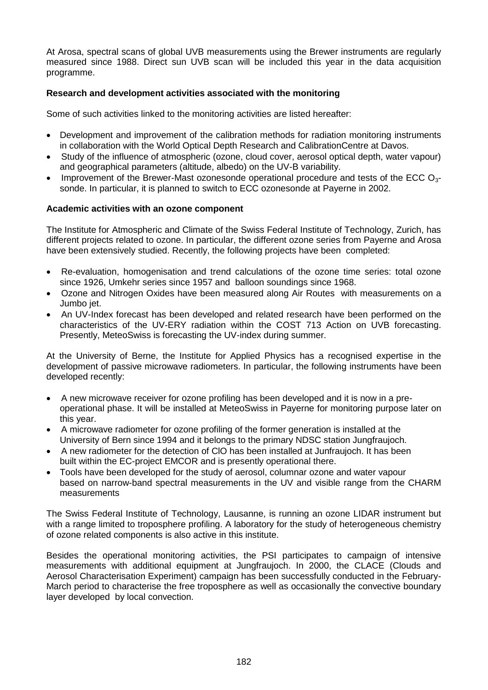At Arosa, spectral scans of global UVB measurements using the Brewer instruments are regularly measured since 1988. Direct sun UVB scan will be included this year in the data acquisition programme.

# **Research and development activities associated with the monitoring**

Some of such activities linked to the monitoring activities are listed hereafter:

- Development and improvement of the calibration methods for radiation monitoring instruments in collaboration with the World Optical Depth Research and CalibrationCentre at Davos.
- Study of the influence of atmospheric (ozone, cloud cover, aerosol optical depth, water vapour) and geographical parameters (altitude, albedo) on the UV-B variability.
- Improvement of the Brewer-Mast ozonesonde operational procedure and tests of the ECC  $O_{3}$ sonde. In particular, it is planned to switch to ECC ozonesonde at Payerne in 2002.

## **Academic activities with an ozone component**

The Institute for Atmospheric and Climate of the Swiss Federal Institute of Technology, Zurich, has different projects related to ozone. In particular, the different ozone series from Payerne and Arosa have been extensively studied. Recently, the following projects have been completed:

- Re-evaluation, homogenisation and trend calculations of the ozone time series: total ozone since 1926, Umkehr series since 1957 and balloon soundings since 1968.
- Ozone and Nitrogen Oxides have been measured along Air Routes with measurements on a Jumbo jet.
- An UV-Index forecast has been developed and related research have been performed on the characteristics of the UV-ERY radiation within the COST 713 Action on UVB forecasting. Presently, MeteoSwiss is forecasting the UV-index during summer.

At the University of Berne, the Institute for Applied Physics has a recognised expertise in the development of passive microwave radiometers. In particular, the following instruments have been developed recently:

- A new microwave receiver for ozone profiling has been developed and it is now in a preoperational phase. It will be installed at MeteoSwiss in Payerne for monitoring purpose later on this year.
- A microwave radiometer for ozone profiling of the former generation is installed at the University of Bern since 1994 and it belongs to the primary NDSC station Jungfraujoch.
- A new radiometer for the detection of ClO has been installed at Junfraujoch. It has been built within the EC-project EMCOR and is presently operational there.
- Tools have been developed for the study of aerosol, columnar ozone and water vapour based on narrow-band spectral measurements in the UV and visible range from the CHARM measurements

The Swiss Federal Institute of Technology, Lausanne, is running an ozone LIDAR instrument but with a range limited to troposphere profiling. A laboratory for the study of heterogeneous chemistry of ozone related components is also active in this institute.

Besides the operational monitoring activities, the PSI participates to campaign of intensive measurements with additional equipment at Jungfraujoch. In 2000, the CLACE (Clouds and Aerosol Characterisation Experiment) campaign has been successfully conducted in the February-March period to characterise the free troposphere as well as occasionally the convective boundary layer developed by local convection.